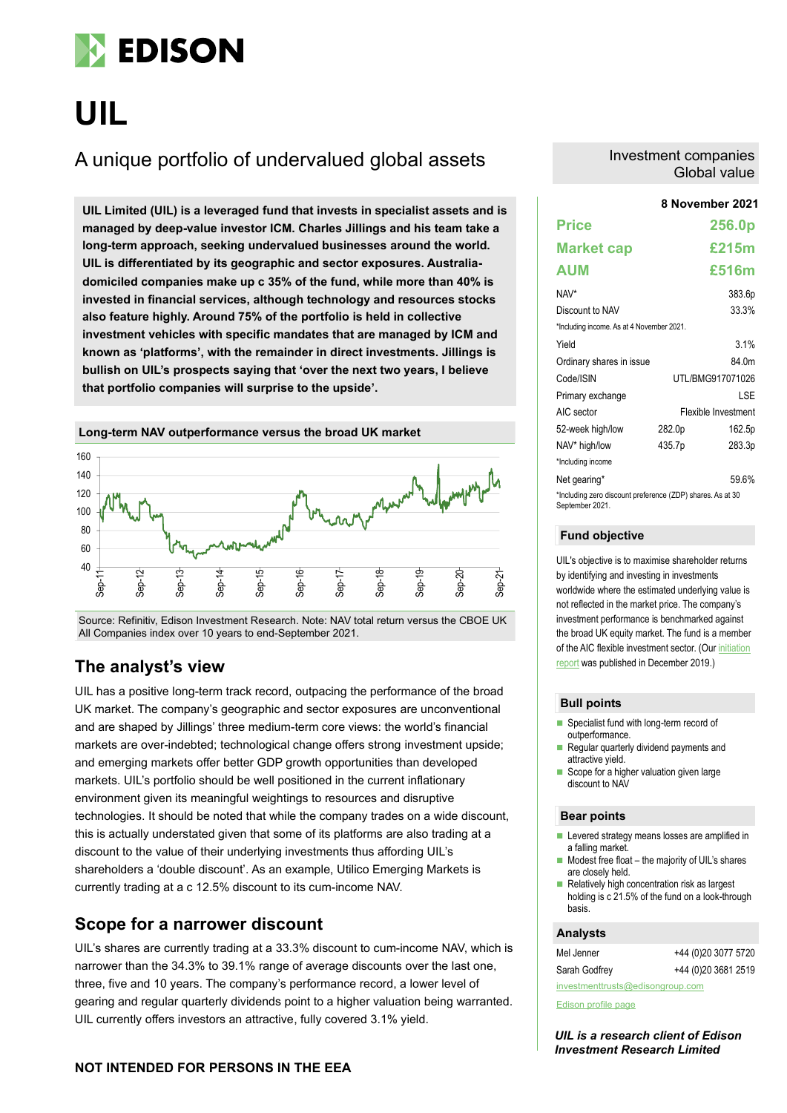

# **UIL**

# A unique portfolio of undervalued global assets

**8 November 2021 UIL Limited (UIL) is a leveraged fund that invests in specialist assets and is managed by deep-value investor ICM. Charles Jillings and his team take a long-term approach, seeking undervalued businesses around the world. UIL is differentiated by its geographic and sector exposures. Australiadomiciled companies make up c 35% of the fund, while more than 40% is invested in financial services, although technology and resources stocks also feature highly. Around 75% of the portfolio is held in collective investment vehicles with specific mandates that are managed by ICM and known as 'platforms', with the remainder in direct investments. Jillings is bullish on UIL's prospects saying that 'over the next two years, I believe that portfolio companies will surprise to the upside'.**



Source: Refinitiv, Edison Investment Research. Note: NAV total return versus the CBOE UK All Companies index over 10 years to end-September 2021.

### **The analyst's view**

UIL has a positive long-term track record, outpacing the performance of the broad UK market. The company's geographic and sector exposures are unconventional and are shaped by Jillings' three medium-term core views: the world's financial markets are over-indebted; technological change offers strong investment upside; and emerging markets offer better GDP growth opportunities than developed markets. UIL's portfolio should be well positioned in the current inflationary environment given its meaningful weightings to resources and disruptive technologies. It should be noted that while the company trades on a wide discount, this is actually understated given that some of its platforms are also trading at a discount to the value of their underlying investments thus affording UIL's shareholders a 'double discount'. As an example, Utilico Emerging Markets is currently trading at a c 12.5% discount to its cum-income NAV.

### **Scope for a narrower discount**

UIL's shares are currently trading at a 33.3% discount to cum-income NAV, which is narrower than the 34.3% to 39.1% range of average discounts over the last one, three, five and 10 years. The company's performance record, a lower level of gearing and regular quarterly dividends point to a higher valuation being warranted. UIL currently offers investors an attractive, fully covered 3.1% yield.

### **NOT INTENDED FOR PERSONS IN THE EEA**

### Investment companies Global value

### **Price 256.0p Market cap £215m AUM £516m** NAV\* 383.6p Discount to NAV 33.3% \*Including income. As at 4 November 2021. Yield 3.1% Ordinary shares in issue 84.0m Code/ISIN UTL/BMG917071026 Primary exchange LSE AIC sector Flexible Investment 52-week high/low 282.0p 162.5p NAV\* high/low 435.7p 283.3p \*Including income Net gearing\* 59.6% \*Including zero discount preference (ZDP) shares. As at 30 Sentember 2021

### **Fund objective**

UIL's objective is to maximise shareholder returns by identifying and investing in investments worldwide where the estimated underlying value is not reflected in the market price. The company's investment performance is benchmarked against the broad UK equity market. The fund is a member of the AIC flexible investment sector. (Ou[r initiation](https://www.edisongroup.com/publication/seeking-undervalued-assets-across-the-globe/25789/)  [report](https://www.edisongroup.com/publication/seeking-undervalued-assets-across-the-globe/25789/) was published in December 2019.)

### **Bull points**

- Specialist fund with long-term record of outperformance.
- Regular quarterly dividend payments and attractive yield.
- Scope for a higher valuation given large discount to NAV

### **Bear points**

- Levered strategy means losses are amplified in a falling market.
- Modest free float the majority of UIL's shares are closely held.
- $\blacksquare$  Relatively high concentration risk as largest holding is c 21.5% of the fund on a look-through basis.

### **Analysts**

| Mel Jenner                       | +44 (0)20 3077 5720 |  |  |  |  |
|----------------------------------|---------------------|--|--|--|--|
| Sarah Godfrey                    | +44 (0)20 3681 2519 |  |  |  |  |
| investmenttrusts@edisongroup.com |                     |  |  |  |  |

[Edison profile page](https://www.edisongroup.com/company/uil-ltd/2910/)

*UIL is a research client of Edison Investment Research Limited*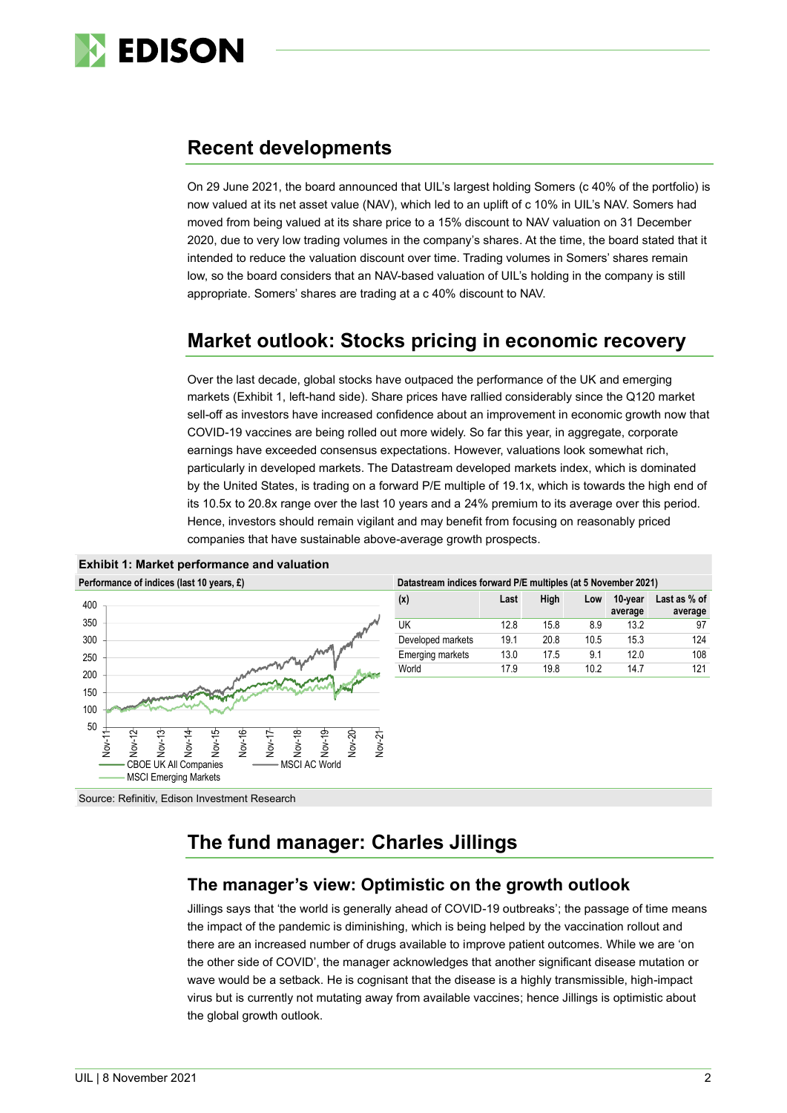

# **Recent developments**

On 29 June 2021, the board announced that UIL's largest holding Somers (c 40% of the portfolio) is now valued at its net asset value (NAV), which led to an uplift of c 10% in UIL's NAV. Somers had moved from being valued at its share price to a 15% discount to NAV valuation on 31 December 2020, due to very low trading volumes in the company's shares. At the time, the board stated that it intended to reduce the valuation discount over time. Trading volumes in Somers' shares remain low, so the board considers that an NAV-based valuation of UIL's holding in the company is still appropriate. Somers' shares are trading at a c 40% discount to NAV.

# **Market outlook: Stocks pricing in economic recovery**

Over the last decade, global stocks have outpaced the performance of the UK and emerging markets (Exhibit 1, left-hand side). Share prices have rallied considerably since the Q120 market sell-off as investors have increased confidence about an improvement in economic growth now that COVID-19 vaccines are being rolled out more widely. So far this year, in aggregate, corporate earnings have exceeded consensus expectations. However, valuations look somewhat rich, particularly in developed markets. The Datastream developed markets index, which is dominated by the United States, is trading on a forward P/E multiple of 19.1x, which is towards the high end of its 10.5x to 20.8x range over the last 10 years and a 24% premium to its average over this period. Hence, investors should remain vigilant and may benefit from focusing on reasonably priced companies that have sustainable above-average growth prospects.





| Datastream indices forward P/E multiples (at 5 November 2021) |  |  |  |
|---------------------------------------------------------------|--|--|--|

| (x)                     | Last | High | Low  | 10-year<br>average | Last as % of<br>average |
|-------------------------|------|------|------|--------------------|-------------------------|
| UK                      | 12.8 | 15.8 | 8.9  | 13.2               | 97                      |
| Developed markets       | 19.1 | 20.8 | 10.5 | 15.3               | 124                     |
| <b>Emerging markets</b> | 13.0 | 17.5 | 9.1  | 12.0               | 108                     |
| World                   | 17.9 | 19.8 | 10.2 | 147                | 121                     |
|                         |      |      |      |                    |                         |

Source: Refinitiv, Edison Investment Research

# **The fund manager: Charles Jillings**

### **The manager's view: Optimistic on the growth outlook**

Jillings says that 'the world is generally ahead of COVID-19 outbreaks'; the passage of time means the impact of the pandemic is diminishing, which is being helped by the vaccination rollout and there are an increased number of drugs available to improve patient outcomes. While we are 'on the other side of COVID', the manager acknowledges that another significant disease mutation or wave would be a setback. He is cognisant that the disease is a highly transmissible, high-impact virus but is currently not mutating away from available vaccines; hence Jillings is optimistic about the global growth outlook.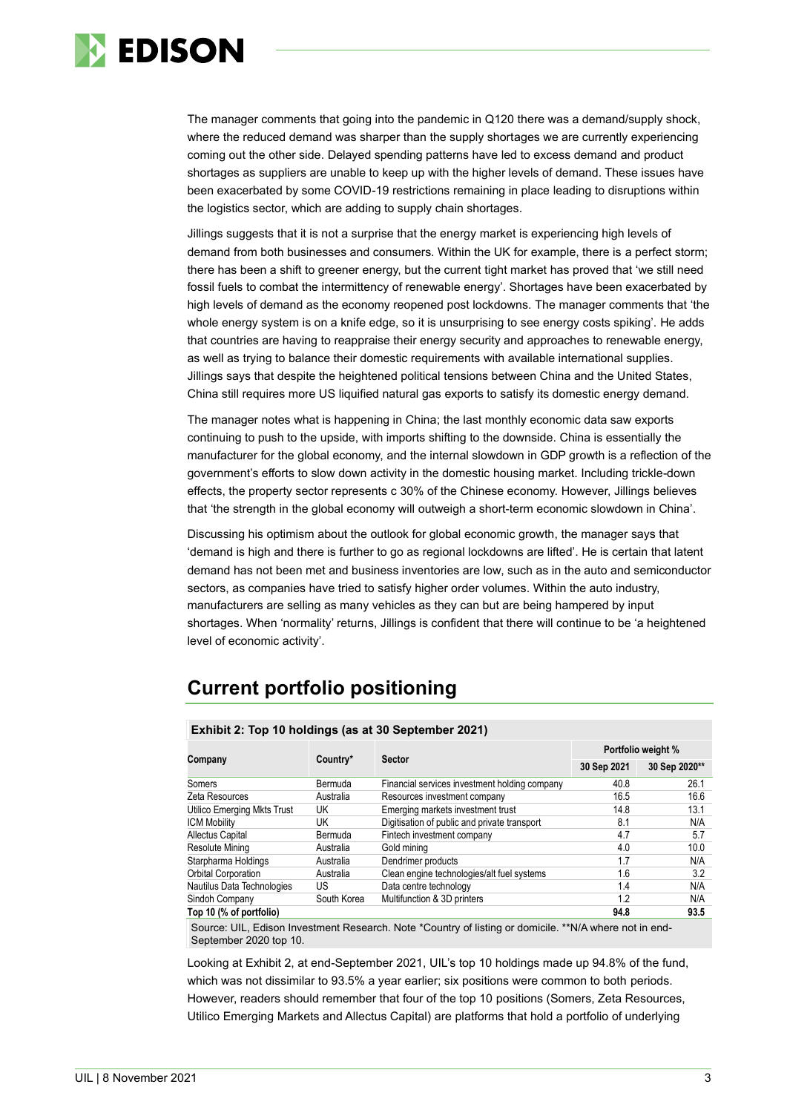

The manager comments that going into the pandemic in Q120 there was a demand/supply shock, where the reduced demand was sharper than the supply shortages we are currently experiencing coming out the other side. Delayed spending patterns have led to excess demand and product shortages as suppliers are unable to keep up with the higher levels of demand. These issues have been exacerbated by some COVID-19 restrictions remaining in place leading to disruptions within the logistics sector, which are adding to supply chain shortages.

Jillings suggests that it is not a surprise that the energy market is experiencing high levels of demand from both businesses and consumers. Within the UK for example, there is a perfect storm; there has been a shift to greener energy, but the current tight market has proved that 'we still need fossil fuels to combat the intermittency of renewable energy'. Shortages have been exacerbated by high levels of demand as the economy reopened post lockdowns. The manager comments that 'the whole energy system is on a knife edge, so it is unsurprising to see energy costs spiking'. He adds that countries are having to reappraise their energy security and approaches to renewable energy, as well as trying to balance their domestic requirements with available international supplies. Jillings says that despite the heightened political tensions between China and the United States, China still requires more US liquified natural gas exports to satisfy its domestic energy demand.

The manager notes what is happening in China; the last monthly economic data saw exports continuing to push to the upside, with imports shifting to the downside. China is essentially the manufacturer for the global economy, and the internal slowdown in GDP growth is a reflection of the government's efforts to slow down activity in the domestic housing market. Including trickle-down effects, the property sector represents c 30% of the Chinese economy. However, Jillings believes that 'the strength in the global economy will outweigh a short-term economic slowdown in China'.

Discussing his optimism about the outlook for global economic growth, the manager says that 'demand is high and there is further to go as regional lockdowns are lifted'. He is certain that latent demand has not been met and business inventories are low, such as in the auto and semiconductor sectors, as companies have tried to satisfy higher order volumes. Within the auto industry, manufacturers are selling as many vehicles as they can but are being hampered by input shortages. When 'normality' returns, Jillings is confident that there will continue to be 'a heightened level of economic activity'.

# **Current portfolio positioning**

|                             | <b>Sector</b> |                                               | Portfolio weight % |               |  |
|-----------------------------|---------------|-----------------------------------------------|--------------------|---------------|--|
| Company                     | Country*      |                                               | 30 Sep 2021        | 30 Sep 2020** |  |
| Somers                      | Bermuda       | Financial services investment holding company | 40.8               | 26.1          |  |
| Zeta Resources              | Australia     | Resources investment company                  | 16.5               | 16.6          |  |
| Utilico Emerging Mkts Trust | UK            | Emerging markets investment trust             | 14.8               | 13.1          |  |
| <b>ICM Mobility</b>         | UK            | Digitisation of public and private transport  | 8.1                | N/A           |  |
| <b>Allectus Capital</b>     | Bermuda       | Fintech investment company                    | 4.7                | 5.7           |  |
| Resolute Mining             | Australia     | Gold mining                                   | 4.0                | 10.0          |  |
| Starpharma Holdings         | Australia     | Dendrimer products                            | 1.7                | N/A           |  |
| <b>Orbital Corporation</b>  | Australia     | Clean engine technologies/alt fuel systems    | 1.6                | 3.2           |  |
| Nautilus Data Technologies  | US            | Data centre technology                        | 1.4                | N/A           |  |
| Sindoh Company              | South Korea   | Multifunction & 3D printers                   | 1.2                | N/A           |  |
| Top 10 (% of portfolio)     |               |                                               | 94.8               | 93.5          |  |

### **Exhibit 2: Top 10 holdings (as at 30 September 2021)**

Source: UIL, Edison Investment Research. Note \*Country of listing or domicile. \*\*N/A where not in end-September 2020 top 10.

Looking at Exhibit 2, at end-September 2021, UIL's top 10 holdings made up 94.8% of the fund, which was not dissimilar to 93.5% a year earlier; six positions were common to both periods. However, readers should remember that four of the top 10 positions (Somers, Zeta Resources, Utilico Emerging Markets and Allectus Capital) are platforms that hold a portfolio of underlying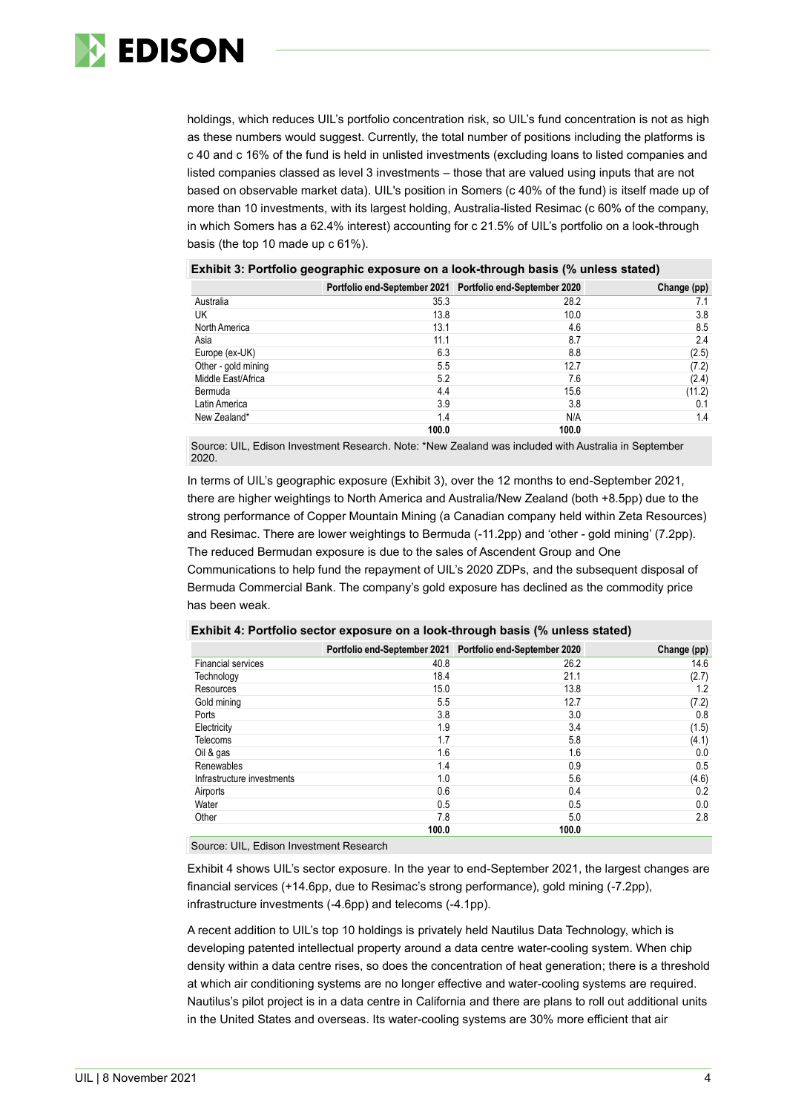

holdings, which reduces UIL's portfolio concentration risk, so UIL's fund concentration is not as high as these numbers would suggest. Currently, the total number of positions including the platforms is c 40 and c 16% of the fund is held in unlisted investments (excluding loans to listed companies and listed companies classed as level 3 investments – those that are valued using inputs that are not based on observable market data). UIL's position in Somers (c 40% of the fund) is itself made up of more than 10 investments, with its largest holding, Australia-listed Resimac (c 60% of the company, in which Somers has a 62.4% interest) accounting for c 21.5% of UIL's portfolio on a look-through basis (the top 10 made up c 61%).

| <u>Exilibit J. Fortiono geographic exposure on a look-through basis (70 unless stated)</u> |       |                                                           |             |  |  |  |
|--------------------------------------------------------------------------------------------|-------|-----------------------------------------------------------|-------------|--|--|--|
|                                                                                            |       | Portfolio end-September 2021 Portfolio end-September 2020 | Change (pp) |  |  |  |
| Australia                                                                                  | 35.3  | 28.2                                                      | 7.1         |  |  |  |
| UK                                                                                         | 13.8  | 10.0                                                      | 3.8         |  |  |  |
| North America                                                                              | 13.1  | 4.6                                                       | 8.5         |  |  |  |
| Asia                                                                                       | 11.1  | 8.7                                                       | 2.4         |  |  |  |
| Europe (ex-UK)                                                                             | 6.3   | 8.8                                                       | (2.5)       |  |  |  |
| Other - gold mining                                                                        | 5.5   | 12.7                                                      | (7.2)       |  |  |  |
| Middle East/Africa                                                                         | 5.2   | 7.6                                                       | (2.4)       |  |  |  |
| Bermuda                                                                                    | 4.4   | 15.6                                                      | (11.2)      |  |  |  |
| Latin America                                                                              | 3.9   | 3.8                                                       | 0.1         |  |  |  |
| New Zealand*                                                                               | 1.4   | N/A                                                       | 1.4         |  |  |  |
|                                                                                            | 100.0 | 100.0                                                     |             |  |  |  |

### **Exhibit 3: Portfolio geographic exposure on a look-through basis (% unless stated)**

Source: UIL, Edison Investment Research. Note: \*New Zealand was included with Australia in September 2020.

In terms of UIL's geographic exposure (Exhibit 3), over the 12 months to end-September 2021, there are higher weightings to North America and Australia/New Zealand (both +8.5pp) due to the strong performance of Copper Mountain Mining (a Canadian company held within Zeta Resources) and Resimac. There are lower weightings to Bermuda (-11.2pp) and 'other - gold mining' (7.2pp). The reduced Bermudan exposure is due to the sales of Ascendent Group and One

Communications to help fund the repayment of UIL's 2020 ZDPs, and the subsequent disposal of Bermuda Commercial Bank. The company's gold exposure has declined as the commodity price has been weak.

|                            |       | Portfolio end-September 2021 Portfolio end-September 2020 | Change (pp) |
|----------------------------|-------|-----------------------------------------------------------|-------------|
| <b>Financial services</b>  | 40.8  | 26.2                                                      | 14.6        |
| Technology                 | 18.4  | 21.1                                                      | (2.7)       |
| Resources                  | 15.0  | 13.8                                                      | 1.2         |
| Gold mining                | 5.5   | 12.7                                                      | (7.2)       |
| Ports                      | 3.8   | 3.0                                                       | 0.8         |
| Electricity                | 1.9   | 3.4                                                       | (1.5)       |
| <b>Telecoms</b>            | 1.7   | 5.8                                                       | (4.1)       |
| Oil & gas                  | 1.6   | 1.6                                                       | 0.0         |
| Renewables                 | 1.4   | 0.9                                                       | 0.5         |
| Infrastructure investments | 1.0   | 5.6                                                       | (4.6)       |
| Airports                   | 0.6   | 0.4                                                       | 0.2         |
| Water                      | 0.5   | 0.5                                                       | 0.0         |
| Other                      | 7.8   | 5.0                                                       | 2.8         |
|                            | 100.0 | 100.0                                                     |             |

### **Exhibit 4: Portfolio sector exposure on a look-through basis (% unless stated)**

Source: UIL, Edison Investment Research

Exhibit 4 shows UIL's sector exposure. In the year to end-September 2021, the largest changes are financial services (+14.6pp, due to Resimac's strong performance), gold mining (-7.2pp), infrastructure investments (-4.6pp) and telecoms (-4.1pp).

A recent addition to UIL's top 10 holdings is privately held Nautilus Data Technology, which is developing patented intellectual property around a data centre water-cooling system. When chip density within a data centre rises, so does the concentration of heat generation; there is a threshold at which air conditioning systems are no longer effective and water-cooling systems are required. Nautilus's pilot project is in a data centre in California and there are plans to roll out additional units in the United States and overseas. Its water-cooling systems are 30% more efficient that air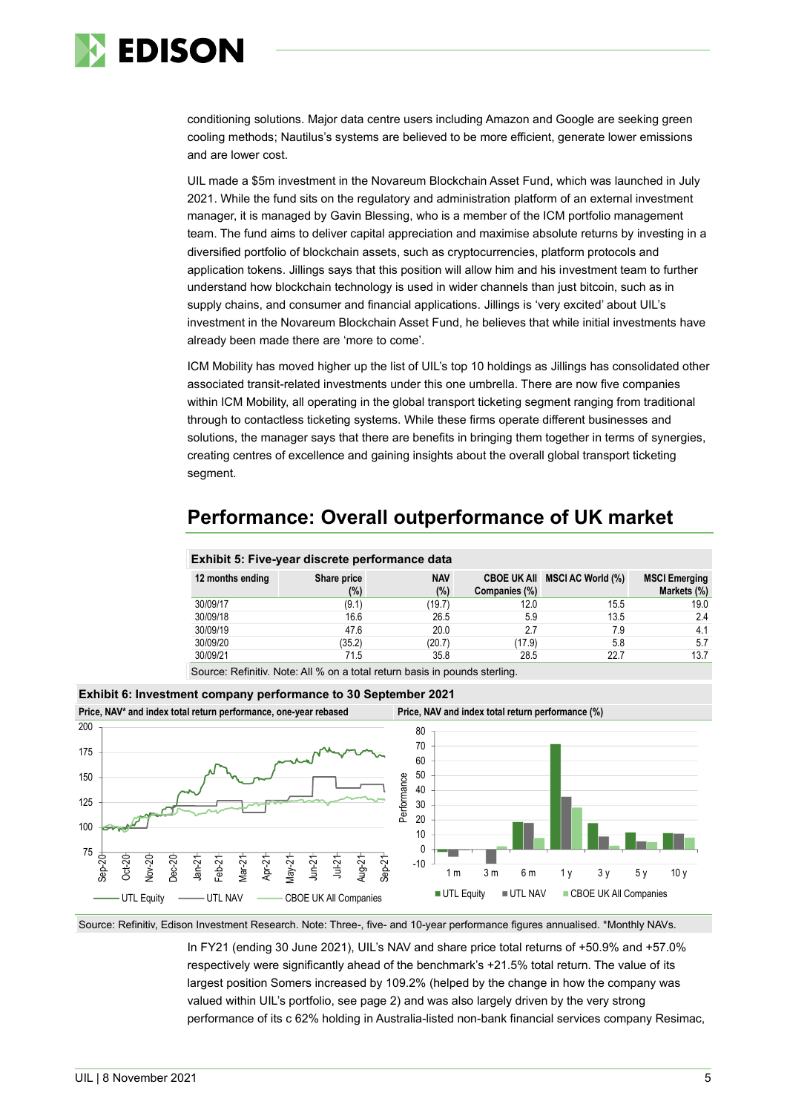

conditioning solutions. Major data centre users including Amazon and Google are seeking green cooling methods; Nautilus's systems are believed to be more efficient, generate lower emissions and are lower cost.

UIL made a \$5m investment in the Novareum Blockchain Asset Fund, which was launched in July 2021. While the fund sits on the regulatory and administration platform of an external investment manager, it is managed by Gavin Blessing, who is a member of the ICM portfolio management team. The fund aims to deliver capital appreciation and maximise absolute returns by investing in a diversified portfolio of blockchain assets, such as cryptocurrencies, platform protocols and application tokens. Jillings says that this position will allow him and his investment team to further understand how blockchain technology is used in wider channels than just bitcoin, such as in supply chains, and consumer and financial applications. Jillings is 'very excited' about UIL's investment in the Novareum Blockchain Asset Fund, he believes that while initial investments have already been made there are 'more to come'.

ICM Mobility has moved higher up the list of UIL's top 10 holdings as Jillings has consolidated other associated transit-related investments under this one umbrella. There are now five companies within ICM Mobility, all operating in the global transport ticketing segment ranging from traditional through to contactless ticketing systems. While these firms operate different businesses and solutions, the manager says that there are benefits in bringing them together in terms of synergies, creating centres of excellence and gaining insights about the overall global transport ticketing segment.

# **Performance: Overall outperformance of UK market**

| Exhibit 5: Five-year discrete performance data |                    |                      |               |                               |                                     |
|------------------------------------------------|--------------------|----------------------|---------------|-------------------------------|-------------------------------------|
| 12 months ending                               | Share price<br>(%) | <b>NAV</b><br>$(\%)$ | Companies (%) | CBOE UK All MSCI AC World (%) | <b>MSCI Emerging</b><br>Markets (%) |
| 30/09/17                                       | (9.1)              | (19.7)               | 12.0          | 15.5                          | 19.0                                |
| 30/09/18                                       | 16.6               | 26.5                 | 5.9           | 13.5                          | 2.4                                 |
| 30/09/19                                       | 47.6               | 20.0                 | 2.7           | 7.9                           | 4.1                                 |
| 30/09/20                                       | (35.2)             | (20.7)               | (17.9)        | 5.8                           | 5.7                                 |
| 30/09/21                                       | 71.5               | 35.8                 | 28.5          | 22.7                          | 13.7                                |

Source: Refinitiv. Note: All % on a total return basis in pounds sterling.



Source: Refinitiv, Edison Investment Research. Note: Three-, five- and 10-year performance figures annualised. \*Monthly NAVs.

In FY21 (ending 30 June 2021), UIL's NAV and share price total returns of +50.9% and +57.0% respectively were significantly ahead of the benchmark's +21.5% total return. The value of its largest position Somers increased by 109.2% (helped by the change in how the company was valued within UIL's portfolio, see page 2) and was also largely driven by the very strong performance of its c 62% holding in Australia-listed non-bank financial services company Resimac,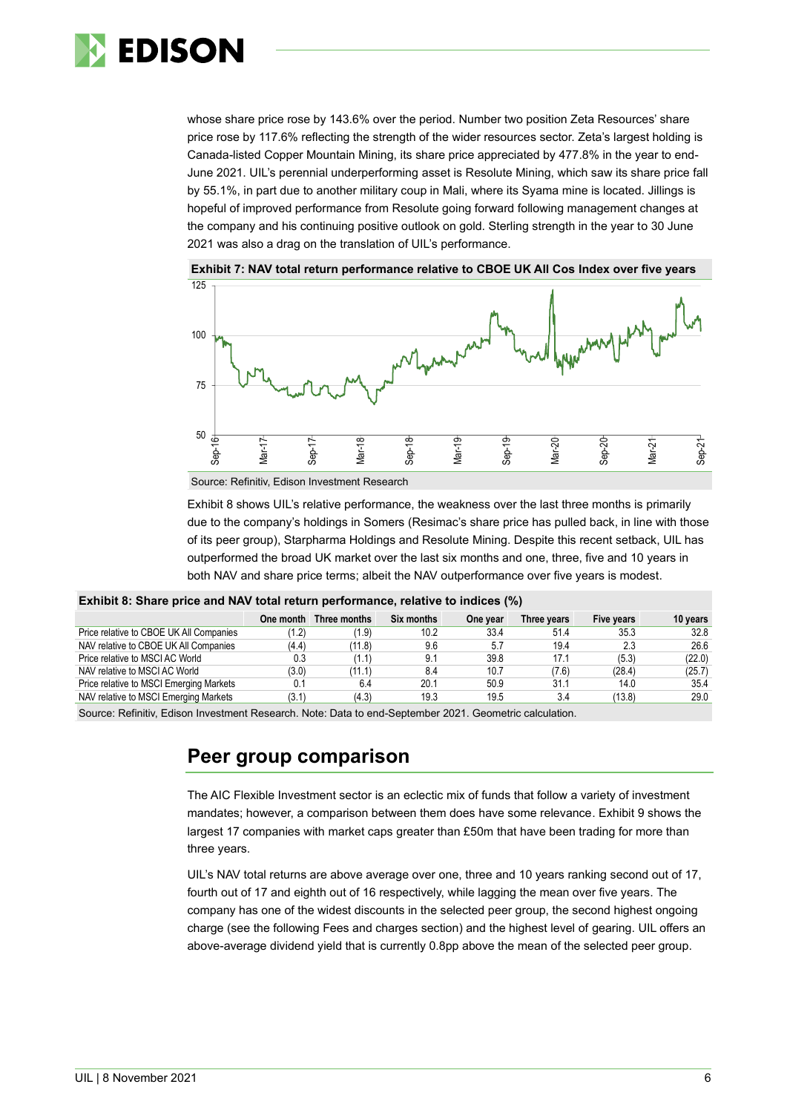

whose share price rose by 143.6% over the period. Number two position Zeta Resources' share price rose by 117.6% reflecting the strength of the wider resources sector. Zeta's largest holding is Canada-listed Copper Mountain Mining, its share price appreciated by 477.8% in the year to end-June 2021. UIL's perennial underperforming asset is Resolute Mining, which saw its share price fall by 55.1%, in part due to another military coup in Mali, where its Syama mine is located. Jillings is hopeful of improved performance from Resolute going forward following management changes at the company and his continuing positive outlook on gold. Sterling strength in the year to 30 June 2021 was also a drag on the translation of UIL's performance.



**Exhibit 7: NAV total return performance relative to CBOE UK All Cos Index over five years**

Source: Refinitiv, Edison Investment Research

Exhibit 8 shows UIL's relative performance, the weakness over the last three months is primarily due to the company's holdings in Somers (Resimac's share price has pulled back, in line with those of its peer group), Starpharma Holdings and Resolute Mining. Despite this recent setback, UIL has outperformed the broad UK market over the last six months and one, three, five and 10 years in both NAV and share price terms; albeit the NAV outperformance over five years is modest.

|  |  |  |  | Exhibit 8: Share price and NAV total return performance, relative to indices (%) |  |
|--|--|--|--|----------------------------------------------------------------------------------|--|
|--|--|--|--|----------------------------------------------------------------------------------|--|

|                                         |       | One month Three months | Six months | One year | Three vears | Five years | 10 years |
|-----------------------------------------|-------|------------------------|------------|----------|-------------|------------|----------|
| Price relative to CBOE UK All Companies | (1.2) | (1.9)                  | 10.2       | 33.4     | 51.4        | 35.3       | 32.8     |
| NAV relative to CBOE UK All Companies   | (4.4) | (11.8)                 | 9.6        | 5.7      | 19.4        | 2.3        | 26.6     |
| Price relative to MSCI AC World         | 0.3   | (1.1)                  | 9.1        | 39.8     | 17.1        | (5.3)      | (22.0)   |
| NAV relative to MSCI AC World           | (3.0) | (11.1)                 | 8.4        | 10.7     | (7.6)       | (28.4)     | (25.7)   |
| Price relative to MSCI Emerging Markets | 0.1   | 6.4                    | 20.1       | 50.9     | 31.1        | 14.0       | 35.4     |
| NAV relative to MSCI Emerging Markets   | (3.1) | (4.3)                  | 19.3       | 19.5     | 3.4         | (13.8)     | 29.0     |
|                                         |       |                        |            |          |             |            |          |

Source: Refinitiv, Edison Investment Research. Note: Data to end-September 2021. Geometric calculation.

### **Peer group comparison**

The AIC Flexible Investment sector is an eclectic mix of funds that follow a variety of investment mandates; however, a comparison between them does have some relevance. Exhibit 9 shows the largest 17 companies with market caps greater than £50m that have been trading for more than three years.

UIL's NAV total returns are above average over one, three and 10 years ranking second out of 17, fourth out of 17 and eighth out of 16 respectively, while lagging the mean over five years. The company has one of the widest discounts in the selected peer group, the second highest ongoing charge (see the following Fees and charges section) and the highest level of gearing. UIL offers an above-average dividend yield that is currently 0.8pp above the mean of the selected peer group.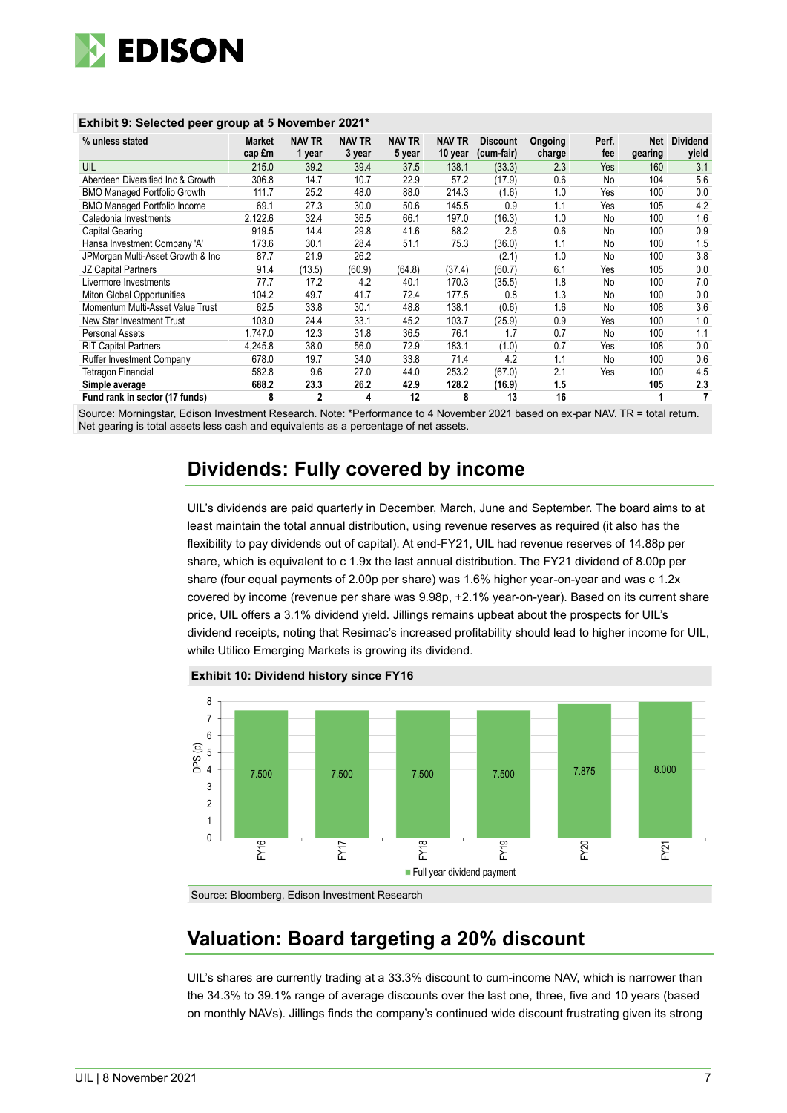

| % unless stated                     | Market<br>cap £m | <b>NAV TR</b><br>1 year | <b>NAV TR</b><br>3 year | <b>NAV TR</b><br>5 year | NAV TR<br>10 year | <b>Discount</b><br>(cum-fair) | Ongoing<br>charge | Perf.<br>fee | Net<br>gearing | <b>Dividend</b><br>yield |
|-------------------------------------|------------------|-------------------------|-------------------------|-------------------------|-------------------|-------------------------------|-------------------|--------------|----------------|--------------------------|
| UIL                                 | 215.0            | 39.2                    | 39.4                    | 37.5                    | 138.1             | (33.3)                        | 2.3               | Yes          | 160            | 3.1                      |
| Aberdeen Diversified Inc & Growth   | 306.8            | 14.7                    | 10.7                    | 22.9                    | 57.2              | (17.9)                        | 0.6               | No           | 104            | 5.6                      |
| <b>BMO Managed Portfolio Growth</b> | 111.7            | 25.2                    | 48.0                    | 88.0                    | 214.3             | (1.6)                         | 1.0               | Yes          | 100            | 0.0                      |
| <b>BMO Managed Portfolio Income</b> | 69.1             | 27.3                    | 30.0                    | 50.6                    | 145.5             | 0.9                           | 1.1               | Yes          | 105            | 4.2                      |
| Caledonia Investments               | 2,122.6          | 32.4                    | 36.5                    | 66.1                    | 197.0             | (16.3)                        | 1.0               | No           | 100            | 1.6                      |
| Capital Gearing                     | 919.5            | 14.4                    | 29.8                    | 41.6                    | 88.2              | 2.6                           | 0.6               | No           | 100            | 0.9                      |
| Hansa Investment Company 'A'        | 173.6            | 30.1                    | 28.4                    | 51.1                    | 75.3              | (36.0)                        | 1.1               | No           | 100            | 1.5                      |
| JPMorgan Multi-Asset Growth & Inc   | 87.7             | 21.9                    | 26.2                    |                         |                   | (2.1)                         | 1.0               | No           | 100            | 3.8                      |
| JZ Capital Partners                 | 91.4             | (13.5)                  | (60.9)                  | (64.8)                  | (37.4)            | (60.7)                        | 6.1               | Yes          | 105            | 0.0                      |
| Livermore Investments               | 77.7             | 17.2                    | 4.2                     | 40.1                    | 170.3             | (35.5)                        | 1.8               | No           | 100            | 7.0                      |
| Miton Global Opportunities          | 104.2            | 49.7                    | 41.7                    | 72.4                    | 177.5             | 0.8                           | 1.3               | No           | 100            | 0.0                      |
| Momentum Multi-Asset Value Trust    | 62.5             | 33.8                    | 30.1                    | 48.8                    | 138.1             | (0.6)                         | 1.6               | No           | 108            | 3.6                      |
| New Star Investment Trust           | 103.0            | 24.4                    | 33.1                    | 45.2                    | 103.7             | (25.9)                        | 0.9               | Yes          | 100            | 1.0                      |
| Personal Assets                     | 1.747.0          | 12.3                    | 31.8                    | 36.5                    | 76.1              | 1.7                           | 0.7               | No           | 100            | 1.1                      |
| <b>RIT Capital Partners</b>         | 4.245.8          | 38.0                    | 56.0                    | 72.9                    | 183.1             | (1.0)                         | 0.7               | Yes          | 108            | 0.0                      |
| <b>Ruffer Investment Company</b>    | 678.0            | 19.7                    | 34.0                    | 33.8                    | 71.4              | 4.2                           | 1.1               | No           | 100            | 0.6                      |
| <b>Tetragon Financial</b>           | 582.8            | 9.6                     | 27.0                    | 44.0                    | 253.2             | (67.0)                        | 2.1               | Yes          | 100            | 4.5                      |
| Simple average                      | 688.2            | 23.3                    | 26.2                    | 42.9                    | 128.2             | (16.9)                        | 1.5               |              | 105            | 2.3                      |
| Fund rank in sector (17 funds)      | 8                | 2                       | 4                       | 12                      | 8                 | 13                            | 16                |              |                | 7                        |

### **Exhibit 9: Selected peer group at 5 November 2021\***

Source: Morningstar, Edison Investment Research. Note: \*Performance to 4 November 2021 based on ex-par NAV. TR = total return. Net gearing is total assets less cash and equivalents as a percentage of net assets.

# **Dividends: Fully covered by income**

UIL's dividends are paid quarterly in December, March, June and September. The board aims to at least maintain the total annual distribution, using revenue reserves as required (it also has the flexibility to pay dividends out of capital). At end-FY21, UIL had revenue reserves of 14.88p per share, which is equivalent to c 1.9x the last annual distribution. The FY21 dividend of 8.00p per share (four equal payments of 2.00p per share) was 1.6% higher year-on-year and was c 1.2x covered by income (revenue per share was 9.98p, +2.1% year-on-year). Based on its current share price, UIL offers a 3.1% dividend yield. Jillings remains upbeat about the prospects for UIL's dividend receipts, noting that Resimac's increased profitability should lead to higher income for UIL, while Utilico Emerging Markets is growing its dividend.



**Exhibit 10: Dividend history since FY16**

Source: Bloomberg, Edison Investment Research

# **Valuation: Board targeting a 20% discount**

UIL's shares are currently trading at a 33.3% discount to cum-income NAV, which is narrower than the 34.3% to 39.1% range of average discounts over the last one, three, five and 10 years (based on monthly NAVs). Jillings finds the company's continued wide discount frustrating given its strong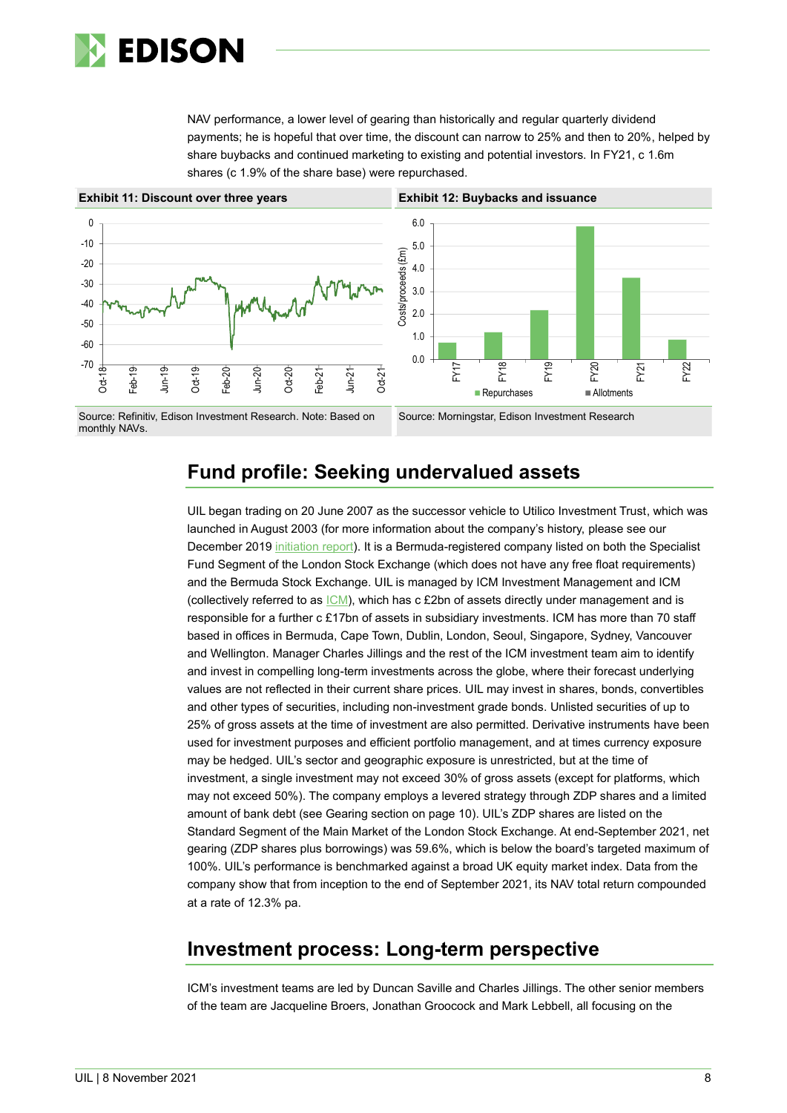

NAV performance, a lower level of gearing than historically and regular quarterly dividend payments; he is hopeful that over time, the discount can narrow to 25% and then to 20%, helped by share buybacks and continued marketing to existing and potential investors. In FY21, c 1.6m shares (c 1.9% of the share base) were repurchased.



monthly NAVs.

#### Source: Morningstar, Edison Investment Research

# **Fund profile: Seeking undervalued assets**

UIL began trading on 20 June 2007 as the successor vehicle to Utilico Investment Trust, which was launched in August 2003 (for more information about the company's history, please see our December 2019 [initiation report\)](https://www.edisongroup.com/publication/seeking-undervalued-assets-across-the-globe/25789). It is a Bermuda-registered company listed on both the Specialist Fund Segment of the London Stock Exchange (which does not have any free float requirements) and the Bermuda Stock Exchange. UIL is managed by ICM Investment Management and ICM (collectively referred to as  $|CM\rangle$ , which has c £2bn of assets directly under management and is responsible for a further c £17bn of assets in subsidiary investments. ICM has more than 70 staff based in offices in Bermuda, Cape Town, Dublin, London, Seoul, Singapore, Sydney, Vancouver and Wellington. Manager Charles Jillings and the rest of the ICM investment team aim to identify and invest in compelling long-term investments across the globe, where their forecast underlying values are not reflected in their current share prices. UIL may invest in shares, bonds, convertibles and other types of securities, including non-investment grade bonds. Unlisted securities of up to 25% of gross assets at the time of investment are also permitted. Derivative instruments have been used for investment purposes and efficient portfolio management, and at times currency exposure may be hedged. UIL's sector and geographic exposure is unrestricted, but at the time of investment, a single investment may not exceed 30% of gross assets (except for platforms, which may not exceed 50%). The company employs a levered strategy through ZDP shares and a limited amount of bank debt (see Gearing section on page 10). UIL's ZDP shares are listed on the Standard Segment of the Main Market of the London Stock Exchange. At end-September 2021, net gearing (ZDP shares plus borrowings) was 59.6%, which is below the board's targeted maximum of 100%. UIL's performance is benchmarked against a broad UK equity market index. Data from the company show that from inception to the end of September 2021, its NAV total return compounded at a rate of 12.3% pa.

### **Investment process: Long-term perspective**

ICM's investment teams are led by Duncan Saville and Charles Jillings. The other senior members of the team are Jacqueline Broers, Jonathan Groocock and Mark Lebbell, all focusing on the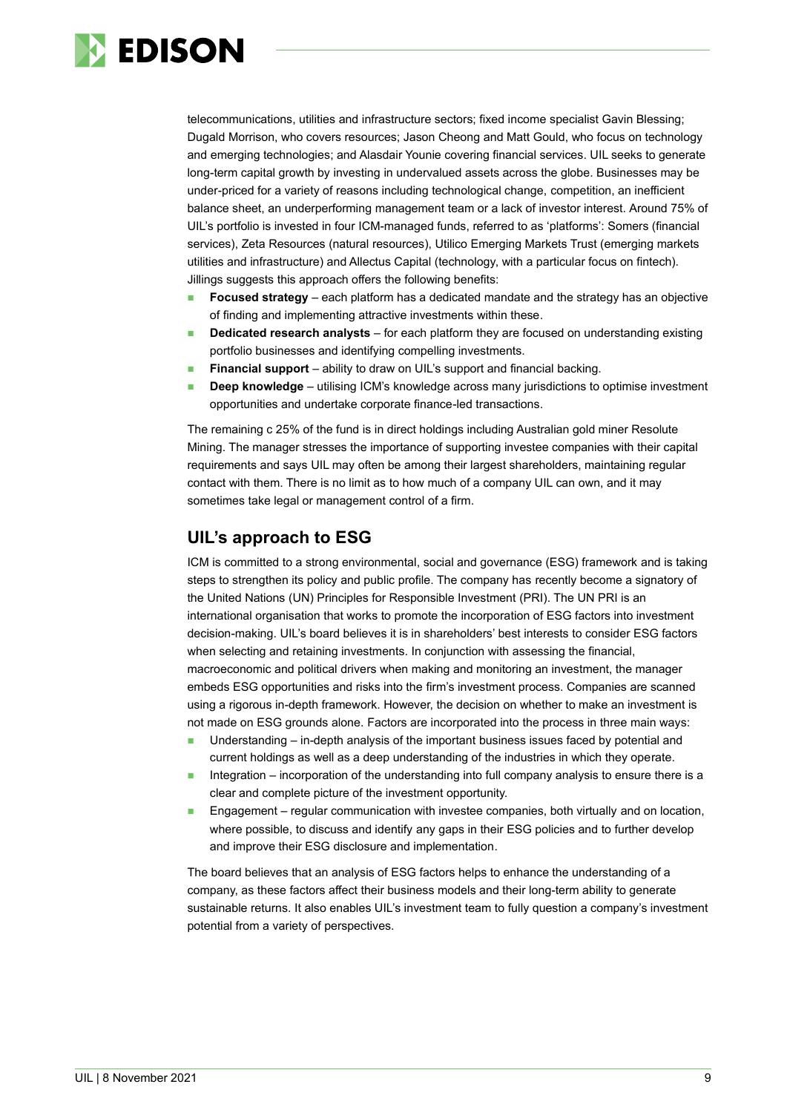

telecommunications, utilities and infrastructure sectors; fixed income specialist Gavin Blessing; Dugald Morrison, who covers resources; Jason Cheong and Matt Gould, who focus on technology and emerging technologies; and Alasdair Younie covering financial services. UIL seeks to generate long-term capital growth by investing in undervalued assets across the globe. Businesses may be under-priced for a variety of reasons including technological change, competition, an inefficient balance sheet, an underperforming management team or a lack of investor interest. Around 75% of UIL's portfolio is invested in four ICM-managed funds, referred to as 'platforms': Somers (financial services), Zeta Resources (natural resources), Utilico Emerging Markets Trust (emerging markets utilities and infrastructure) and Allectus Capital (technology, with a particular focus on fintech). Jillings suggests this approach offers the following benefits:

- **Focused strategy** each platform has a dedicated mandate and the strategy has an objective of finding and implementing attractive investments within these.
- **Dedicated research analysts** for each platform they are focused on understanding existing portfolio businesses and identifying compelling investments.
- **Financial support** ability to draw on UIL's support and financial backing.
- **Deep knowledge** utilising ICM's knowledge across many jurisdictions to optimise investment opportunities and undertake corporate finance-led transactions.

The remaining c 25% of the fund is in direct holdings including Australian gold miner Resolute Mining. The manager stresses the importance of supporting investee companies with their capital requirements and says UIL may often be among their largest shareholders, maintaining regular contact with them. There is no limit as to how much of a company UIL can own, and it may sometimes take legal or management control of a firm.

### **UIL's approach to ESG**

ICM is committed to a strong environmental, social and governance (ESG) framework and is taking steps to strengthen its policy and public profile. The company has recently become a signatory of the United Nations (UN) Principles for Responsible Investment (PRI). The UN PRI is an international organisation that works to promote the incorporation of ESG factors into investment decision-making. UIL's board believes it is in shareholders' best interests to consider ESG factors when selecting and retaining investments. In conjunction with assessing the financial, macroeconomic and political drivers when making and monitoring an investment, the manager embeds ESG opportunities and risks into the firm's investment process. Companies are scanned using a rigorous in-depth framework. However, the decision on whether to make an investment is not made on ESG grounds alone. Factors are incorporated into the process in three main ways:

- Understanding in-depth analysis of the important business issues faced by potential and current holdings as well as a deep understanding of the industries in which they operate.
- Integration incorporation of the understanding into full company analysis to ensure there is a clear and complete picture of the investment opportunity.
- Engagement regular communication with investee companies, both virtually and on location, where possible, to discuss and identify any gaps in their ESG policies and to further develop and improve their ESG disclosure and implementation.

The board believes that an analysis of ESG factors helps to enhance the understanding of a company, as these factors affect their business models and their long-term ability to generate sustainable returns. It also enables UIL's investment team to fully question a company's investment potential from a variety of perspectives.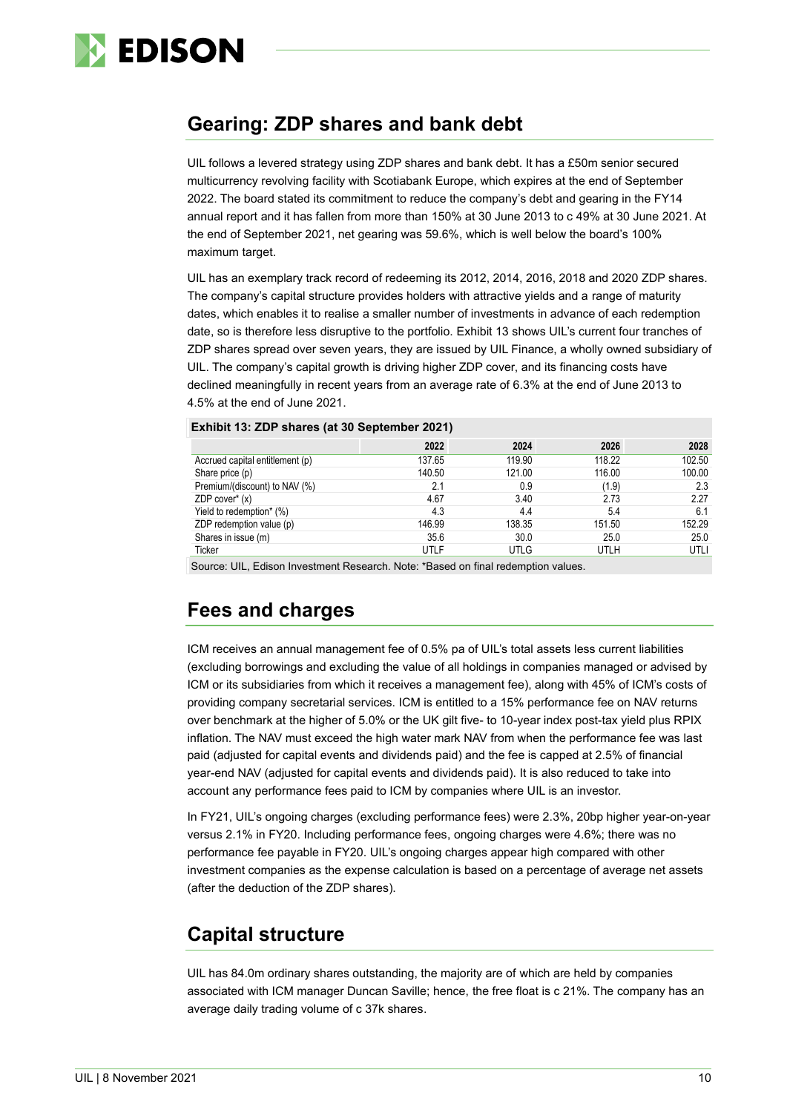

# **Gearing: ZDP shares and bank debt**

UIL follows a levered strategy using ZDP shares and bank debt. It has a £50m senior secured multicurrency revolving facility with Scotiabank Europe, which expires at the end of September 2022. The board stated its commitment to reduce the company's debt and gearing in the FY14 annual report and it has fallen from more than 150% at 30 June 2013 to c 49% at 30 June 2021. At the end of September 2021, net gearing was 59.6%, which is well below the board's 100% maximum target.

UIL has an exemplary track record of redeeming its 2012, 2014, 2016, 2018 and 2020 ZDP shares. The company's capital structure provides holders with attractive yields and a range of maturity dates, which enables it to realise a smaller number of investments in advance of each redemption date, so is therefore less disruptive to the portfolio. Exhibit 13 shows UIL's current four tranches of ZDP shares spread over seven years, they are issued by UIL Finance, a wholly owned subsidiary of UIL. The company's capital growth is driving higher ZDP cover, and its financing costs have declined meaningfully in recent years from an average rate of 6.3% at the end of June 2013 to 4.5% at the end of June 2021.

|                                 | 2022   | 2024        | 2026        | 2028   |
|---------------------------------|--------|-------------|-------------|--------|
| Accrued capital entitlement (p) | 137.65 | 119.90      | 118.22      | 102.50 |
| Share price (p)                 | 140.50 | 121.00      | 116.00      | 100.00 |
| Premium/(discount) to NAV (%)   | 2.1    | 0.9         | (1.9)       | 2.3    |
| ZDP cover* (x)                  | 4.67   | 3.40        | 2.73        | 2.27   |
| Yield to redemption* (%)        | 4.3    | 4.4         | 5.4         | 6.1    |
| ZDP redemption value (p)        | 146.99 | 138.35      | 151.50      | 152.29 |
| Shares in issue (m)             | 35.6   | 30.0        | 25.0        | 25.0   |
| Ticker                          | UTLF   | <b>UTLG</b> | <b>UTLH</b> | UTLI   |

**Exhibit 13: ZDP shares (at 30 September 2021)**

Source: UIL, Edison Investment Research. Note: \*Based on final redemption values.

# **Fees and charges**

ICM receives an annual management fee of 0.5% pa of UIL's total assets less current liabilities (excluding borrowings and excluding the value of all holdings in companies managed or advised by ICM or its subsidiaries from which it receives a management fee), along with 45% of ICM's costs of providing company secretarial services. ICM is entitled to a 15% performance fee on NAV returns over benchmark at the higher of 5.0% or the UK gilt five- to 10-year index post-tax yield plus RPIX inflation. The NAV must exceed the high water mark NAV from when the performance fee was last paid (adjusted for capital events and dividends paid) and the fee is capped at 2.5% of financial year-end NAV (adjusted for capital events and dividends paid). It is also reduced to take into account any performance fees paid to ICM by companies where UIL is an investor.

In FY21, UIL's ongoing charges (excluding performance fees) were 2.3%, 20bp higher year-on-year versus 2.1% in FY20. Including performance fees, ongoing charges were 4.6%; there was no performance fee payable in FY20. UIL's ongoing charges appear high compared with other investment companies as the expense calculation is based on a percentage of average net assets (after the deduction of the ZDP shares).

# **Capital structure**

UIL has 84.0m ordinary shares outstanding, the majority are of which are held by companies associated with ICM manager Duncan Saville; hence, the free float is c 21%. The company has an average daily trading volume of c 37k shares.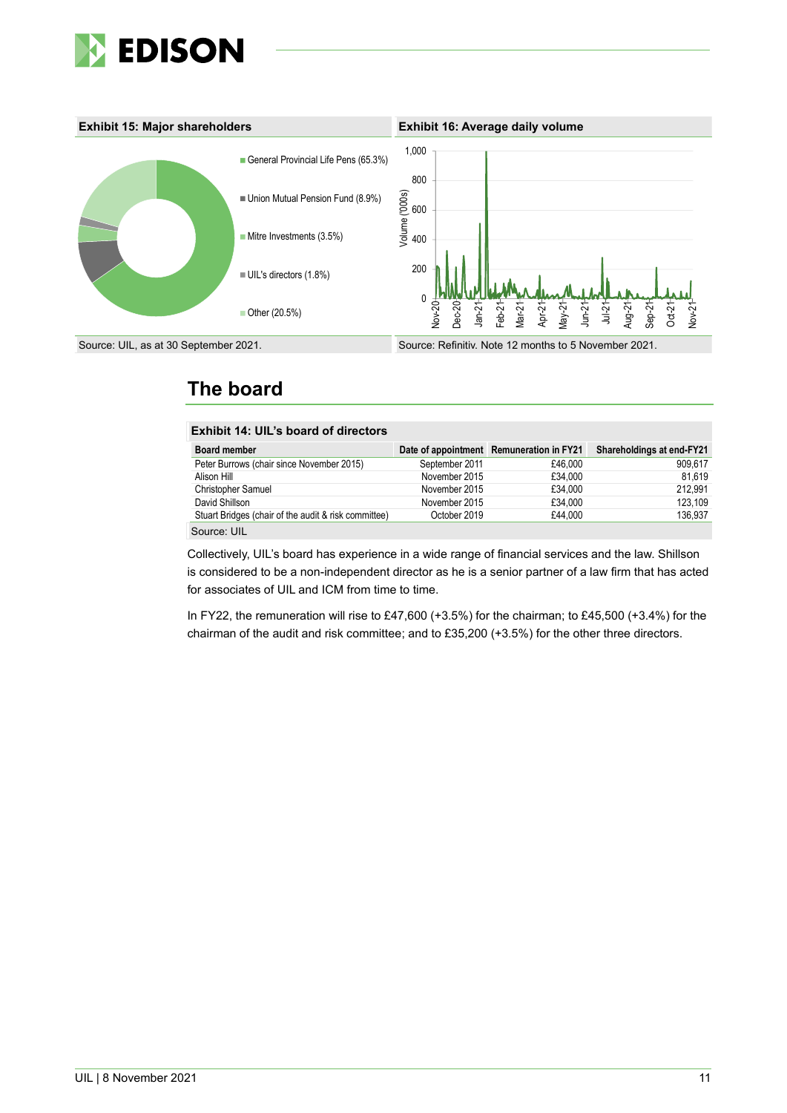



# **The board**

| <b>Exhibit 14: UIL's board of directors</b>          |                |                                          |                           |
|------------------------------------------------------|----------------|------------------------------------------|---------------------------|
| Board member                                         |                | Date of appointment Remuneration in FY21 | Shareholdings at end-FY21 |
| Peter Burrows (chair since November 2015)            | September 2011 | £46.000                                  | 909.617                   |
| Alison Hill                                          | November 2015  | £34.000                                  | 81,619                    |
| Christopher Samuel                                   | November 2015  | £34.000                                  | 212.991                   |
| David Shillson                                       | November 2015  | £34.000                                  | 123.109                   |
| Stuart Bridges (chair of the audit & risk committee) | October 2019   | £44.000                                  | 136.937                   |
| Source: UIL                                          |                |                                          |                           |

Collectively, UIL's board has experience in a wide range of financial services and the law. Shillson is considered to be a non-independent director as he is a senior partner of a law firm that has acted for associates of UIL and ICM from time to time.

In FY22, the remuneration will rise to £47,600 (+3.5%) for the chairman; to £45,500 (+3.4%) for the chairman of the audit and risk committee; and to £35,200 (+3.5%) for the other three directors.